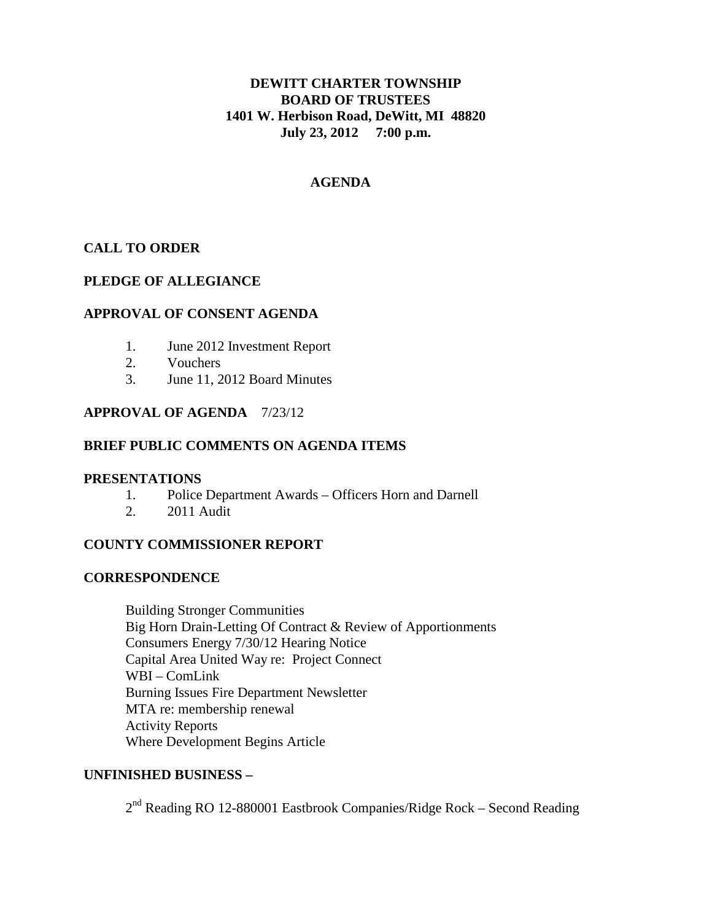# **DEWITT CHARTER TOWNSHIP BOARD OF TRUSTEES 1401 W. Herbison Road, DeWitt, MI 48820 July 23, 2012 7:00 p.m.**

# **AGENDA**

## **CALL TO ORDER**

## **PLEDGE OF ALLEGIANCE**

## **APPROVAL OF CONSENT AGENDA**

- 1. June 2012 Investment Report
- 2. Vouchers
- 3. June 11, 2012 Board Minutes

## **APPROVAL OF AGENDA** 7/23/12

## **BRIEF PUBLIC COMMENTS ON AGENDA ITEMS**

## **PRESENTATIONS**

- 1. Police Department Awards Officers Horn and Darnell
- 2. 2011 Audit

## **COUNTY COMMISSIONER REPORT**

## **CORRESPONDENCE**

Building Stronger Communities Big Horn Drain-Letting Of Contract & Review of Apportionments Consumers Energy 7/30/12 Hearing Notice Capital Area United Way re: Project Connect WBI – ComLink Burning Issues Fire Department Newsletter MTA re: membership renewal Activity Reports Where Development Begins Article

## **UNFINISHED BUSINESS –**

2nd Reading RO 12-880001 Eastbrook Companies/Ridge Rock – Second Reading